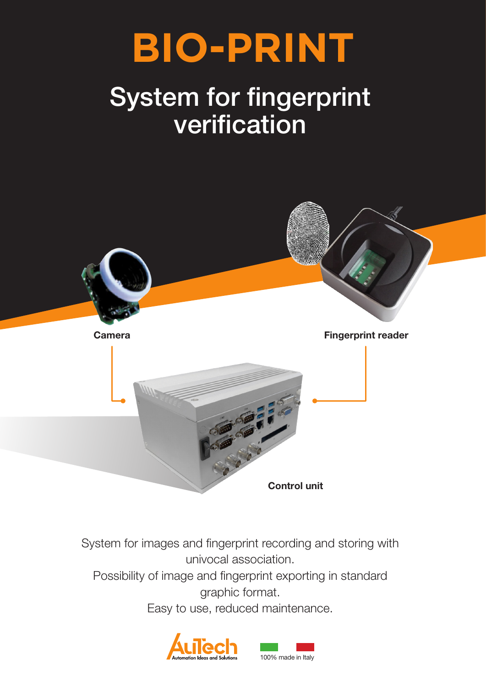# **BIO-PRINT**

## System for fingerprint verification



System for images and fingerprint recording and storing with univocal association. Possibility of image and fingerprint exporting in standard graphic format. Easy to use, reduced maintenance.